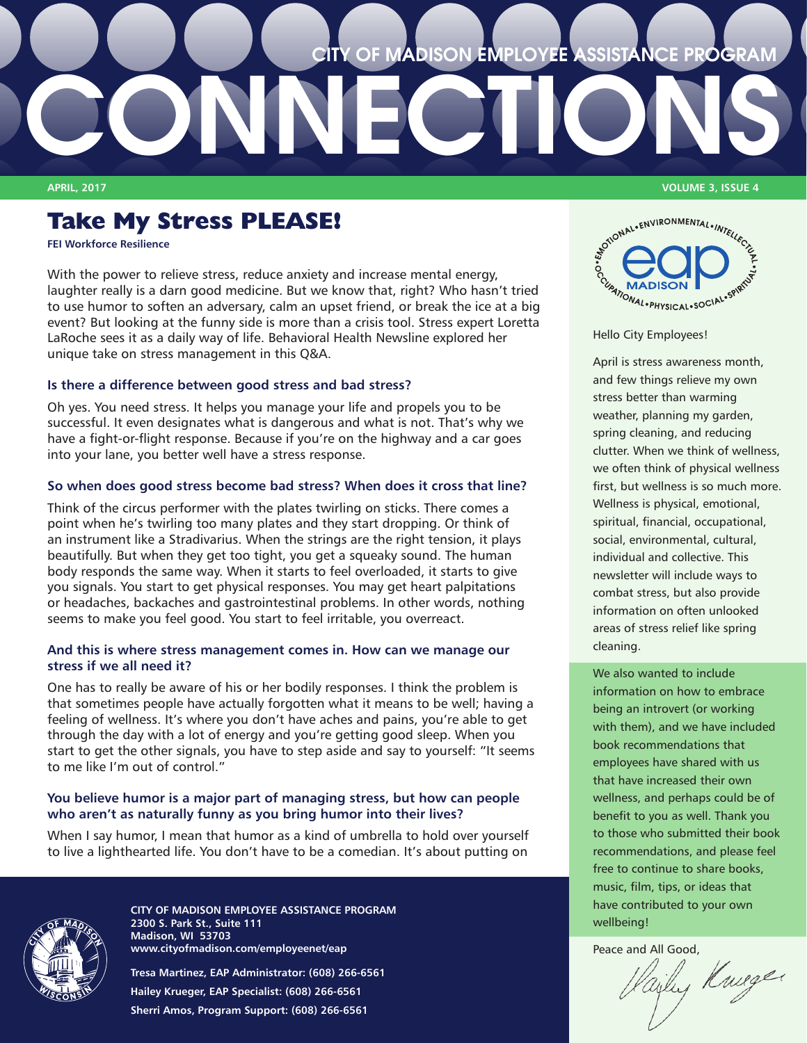### **CITY OF MADISON EMPLOYEE ASSISTANCE PROGRAM**

## **Take My Stress PLEASE!**

**[FEI Workforce Resilience](http://feieap.com/)**

With the power to relieve stress, reduce anxiety and increase mental energy, laughter really is a darn good medicine. But we know that, right? Who hasn't tried to use humor to soften an adversary, calm an upset friend, or break the ice at a big event? But looking at the funny side is more than a crisis tool. Stress expert Loretta LaRoche sees it as a daily way of life. Behavioral Health Newsline explored her unique take on stress management in this Q&A.

**CONNECT** 

### **Is there a difference between good stress and bad stress?**

Oh yes. You need stress. It helps you manage your life and propels you to be successful. It even designates what is dangerous and what is not. That's why we have a fight-or-flight response. Because if you're on the highway and a car goes into your lane, you better well have a stress response.

### **So when does good stress become bad stress? When does it cross that line?**

Think of the circus performer with the plates twirling on sticks. There comes a point when he's twirling too many plates and they start dropping. Or think of an instrument like a Stradivarius. When the strings are the right tension, it plays beautifully. But when they get too tight, you get a squeaky sound. The human body responds the same way. When it starts to feel overloaded, it starts to give you signals. You start to get physical responses. You may get heart palpitations or headaches, backaches and gastrointestinal problems. In other words, nothing seems to make you feel good. You start to feel irritable, you overreact.

### **And this is where stress management comes in. How can we manage our stress if we all need it?**

One has to really be aware of his or her bodily responses. I think the problem is that sometimes people have actually forgotten what it means to be well; having a feeling of wellness. It's where you don't have aches and pains, you're able to get through the day with a lot of energy and you're getting good sleep. When you start to get the other signals, you have to step aside and say to yourself: "It seems to me like I'm out of control."

### **You believe humor is a major part of managing stress, but how can people who aren't as naturally funny as you bring humor into their lives?**

When I say humor, I mean that humor as a kind of umbrella to hold over yourself to live a lighthearted life. You don't have to be a comedian. It's about putting on



**CITY OF MADISON EMPLOYEE ASSISTANCE PROGRAM 2300 S. Park St., Suite 111 Madison, WI 53703 www.cityofmadison.com/employeenet/eap**

**Tresa Martinez, EAP Administrator: (608) 266-6561 Hailey Krueger, EAP Specialist: (608) 266-6561 Sherri Amos, Program Support: (608) 266-6561**

**APRIL, 2017 VOLUME 3, ISSUE 4**



### Hello City Employees!

April is stress awareness month, and few things relieve my own stress better than warming weather, planning my garden, spring cleaning, and reducing clutter. When we think of wellness, we often think of physical wellness first, but wellness is so much more. Wellness is physical, emotional, spiritual, financial, occupational, social, environmental, cultural, individual and collective. This newsletter will include ways to combat stress, but also provide information on often unlooked areas of stress relief like spring cleaning.

We also wanted to include information on how to embrace being an introvert (or working with them), and we have included book recommendations that employees have shared with us that have increased their own wellness, and perhaps could be of benefit to you as well. Thank you to those who submitted their book recommendations, and please feel free to continue to share books, music, film, tips, or ideas that have contributed to your own wellbeing!

Peace and All Good,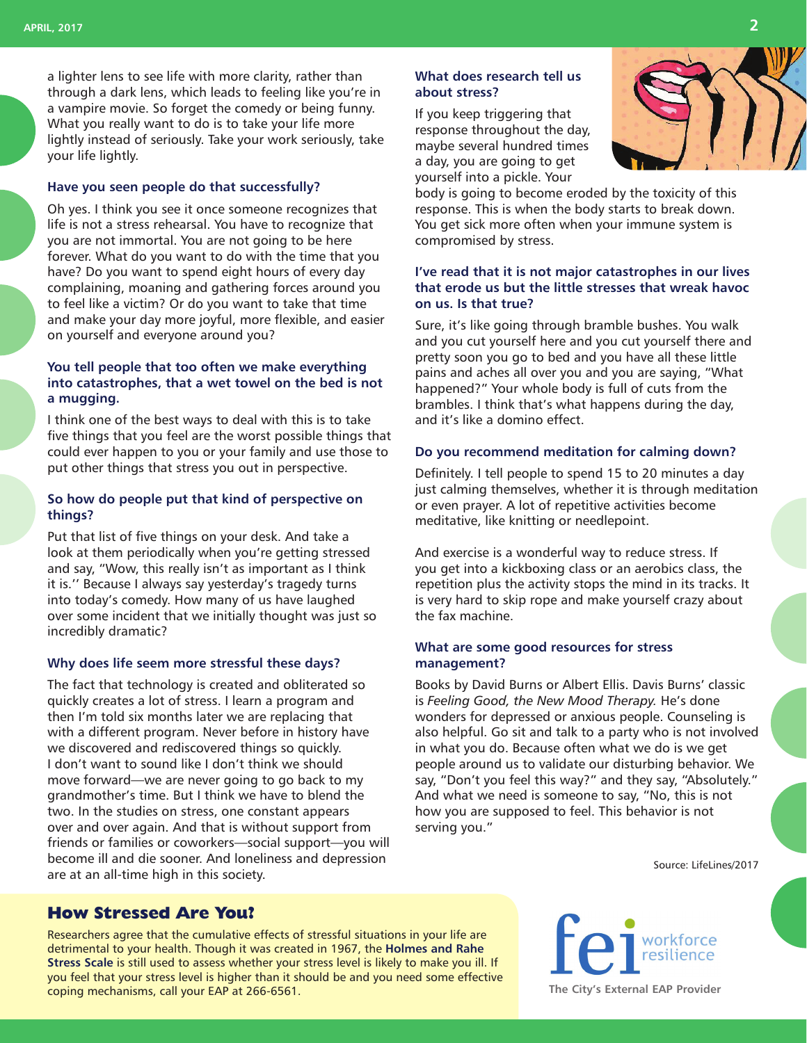a lighter lens to see life with more clarity, rather than through a dark lens, which leads to feeling like you're in a vampire movie. So forget the comedy or being funny. What you really want to do is to take your life more lightly instead of seriously. Take your work seriously, take your life lightly.

#### **Have you seen people do that successfully?**

Oh yes. I think you see it once someone recognizes that life is not a stress rehearsal. You have to recognize that you are not immortal. You are not going to be here forever. What do you want to do with the time that you have? Do you want to spend eight hours of every day complaining, moaning and gathering forces around you to feel like a victim? Or do you want to take that time and make your day more joyful, more flexible, and easier on yourself and everyone around you?

### **You tell people that too often we make everything into catastrophes, that a wet towel on the bed is not a mugging.**

I think one of the best ways to deal with this is to take five things that you feel are the worst possible things that could ever happen to you or your family and use those to put other things that stress you out in perspective.

### **So how do people put that kind of perspective on things?**

Put that list of five things on your desk. And take a look at them periodically when you're getting stressed and say, "Wow, this really isn't as important as I think it is.'' Because I always say yesterday's tragedy turns into today's comedy. How many of us have laughed over some incident that we initially thought was just so incredibly dramatic?

#### **Why does life seem more stressful these days?**

The fact that technology is created and obliterated so quickly creates a lot of stress. I learn a program and then I'm told six months later we are replacing that with a different program. Never before in history have we discovered and rediscovered things so quickly. I don't want to sound like I don't think we should move forward—we are never going to go back to my grandmother's time. But I think we have to blend the two. In the studies on stress, one constant appears over and over again. And that is without support from friends or families or coworkers—social support—you will become ill and die sooner. And loneliness and depression are at an all-time high in this society.

### **What does research tell us about stress?**

If you keep triggering that response throughout the day, maybe several hundred times a day, you are going to get yourself into a pickle. Your



body is going to become eroded by the toxicity of this response. This is when the body starts to break down. You get sick more often when your immune system is compromised by stress.

### **I've read that it is not major catastrophes in our lives that erode us but the little stresses that wreak havoc on us. Is that true?**

Sure, it's like going through bramble bushes. You walk and you cut yourself here and you cut yourself there and pretty soon you go to bed and you have all these little pains and aches all over you and you are saying, "What happened?" Your whole body is full of cuts from the brambles. I think that's what happens during the day, and it's like a domino effect.

### **Do you recommend meditation for calming down?**

Definitely. I tell people to spend 15 to 20 minutes a day just calming themselves, whether it is through meditation or even prayer. A lot of repetitive activities become meditative, like knitting or needlepoint.

And exercise is a wonderful way to reduce stress. If you get into a kickboxing class or an aerobics class, the repetition plus the activity stops the mind in its tracks. It is very hard to skip rope and make yourself crazy about the fax machine.

### **What are some good resources for stress management?**

Books by David Burns or Albert Ellis. Davis Burns' classic is *Feeling Good, the New Mood Therapy.* He's done wonders for depressed or anxious people. Counseling is also helpful. Go sit and talk to a party who is not involved in what you do. Because often what we do is we get people around us to validate our disturbing behavior. We say, "Don't you feel this way?" and they say, "Absolutely." And what we need is someone to say, "No, this is not how you are supposed to feel. This behavior is not serving you."

Source: LifeLines/2017

### **How Stressed Are You?**

Researchers agree that the cumulative effects of stressful situations in your life are detrimental to your health. Though it was created in 1967, the **[Holmes and Rahe](https://www.mindtools.com/pages/article/newTCS_82.htm)  [Stress Scale](https://www.mindtools.com/pages/article/newTCS_82.htm)** is still used to assess whether your stress level is likely to make you ill. If you feel that your stress level is higher than it should be and you need some effective coping mechanisms, call your EAP at 266-6561. **[The City's External EAP Provider](http://www.feieap.com/)**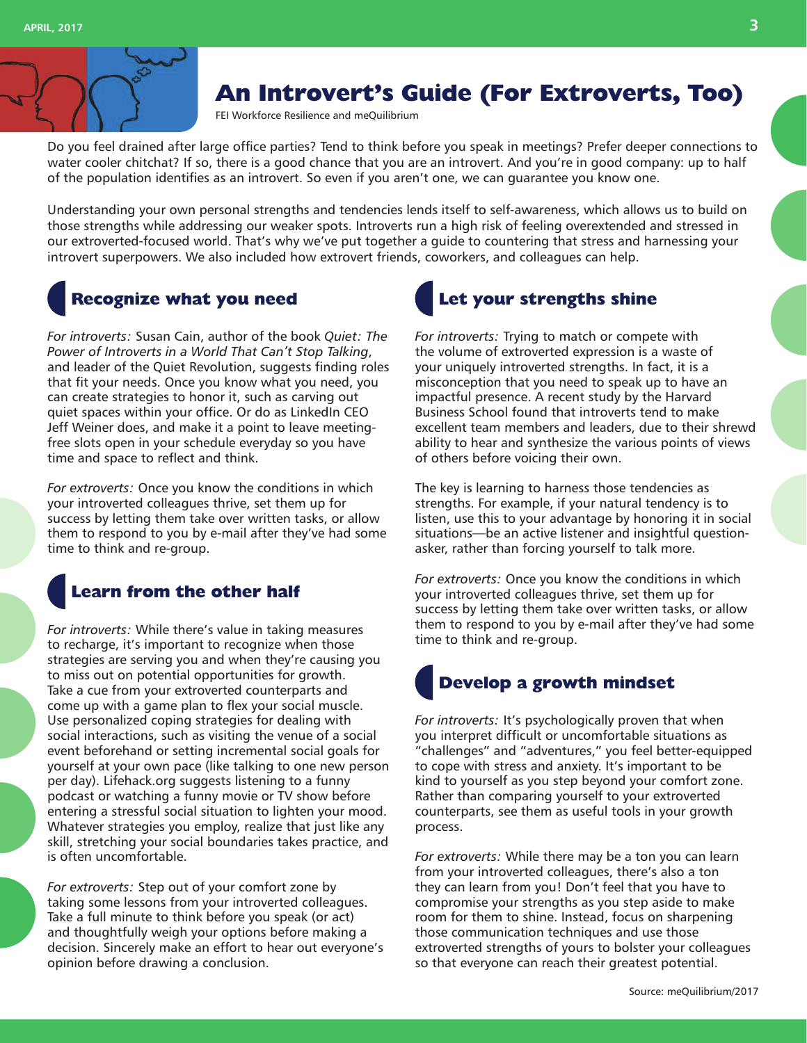

## **An Introvert's Guide (For Extroverts, Too)**

[FEI Workforce Resilience](http://feieap.com/) and [meQuilibrium](https://www.mequilibrium.com/content-hub/)

Do you feel drained after large office parties? Tend to think before you speak in meetings? Prefer deeper connections to water cooler chitchat? If so, there is a good chance that you are an introvert. And you're in good company: up to half of the population identifies as an introvert. So even if you aren't one, we can guarantee you know one.

Understanding your own personal strengths and tendencies lends itself to self-awareness, which allows us to build on those strengths while addressing our weaker spots. Introverts run a high risk of feeling overextended and stressed in our extroverted-focused world. That's why we've put together a guide to countering that stress and harnessing your introvert superpowers. We also included how extrovert friends, coworkers, and colleagues can help.

### **Recognize what you need**

*For introverts:* Susan Cain, author of the book *Quiet: The Power of Introverts in a World That Can't Stop Talking*, and leader of the Quiet Revolution, suggests finding roles that fit your needs. Once you know what you need, you can create strategies to honor it, such as carving out quiet spaces within your office. Or do as LinkedIn CEO Jeff Weiner does, and make it a point to leave meetingfree slots open in your schedule everyday so you have time and space to reflect and think.

*For extroverts:* Once you know the conditions in which your introverted colleagues thrive, set them up for success by letting them take over written tasks, or allow them to respond to you by e-mail after they've had some time to think and re-group.

### **Learn from the other half**

*For introverts:* While there's value in taking measures to recharge, it's important to recognize when those strategies are serving you and when they're causing you to miss out on potential opportunities for growth. Take a cue from your extroverted counterparts and come up with a game plan to flex your social muscle. Use personalized coping strategies for dealing with social interactions, such as visiting the venue of a social event beforehand or setting incremental social goals for yourself at your own pace (like talking to one new person per day). Lifehack.org suggests listening to a funny podcast or watching a funny movie or TV show before entering a stressful social situation to lighten your mood. Whatever strategies you employ, realize that just like any skill, stretching your social boundaries takes practice, and is often uncomfortable.

*For extroverts:* Step out of your comfort zone by taking some lessons from your introverted colleagues. Take a full minute to think before you speak (or act) and thoughtfully weigh your options before making a decision. Sincerely make an effort to hear out everyone's opinion before drawing a conclusion.

# **Let your strengths shine**

*For introverts:* Trying to match or compete with the volume of extroverted expression is a waste of your uniquely introverted strengths. In fact, it is a misconception that you need to speak up to have an impactful presence. A recent study by the Harvard Business School found that introverts tend to make excellent team members and leaders, due to their shrewd ability to hear and synthesize the various points of views of others before voicing their own.

The key is learning to harness those tendencies as strengths. For example, if your natural tendency is to listen, use this to your advantage by honoring it in social situations—be an active listener and insightful questionasker, rather than forcing yourself to talk more.

*For extroverts:* Once you know the conditions in which your introverted colleagues thrive, set them up for success by letting them take over written tasks, or allow them to respond to you by e-mail after they've had some time to think and re-group.

## **Develop a growth mindset**

*For introverts:* It's psychologically proven that when you interpret difficult or uncomfortable situations as "challenges" and "adventures," you feel better-equipped to cope with stress and anxiety. It's important to be kind to yourself as you step beyond your comfort zone. Rather than comparing yourself to your extroverted counterparts, see them as useful tools in your growth process.

*For extroverts:* While there may be a ton you can learn from your introverted colleagues, there's also a ton they can learn from you! Don't feel that you have to compromise your strengths as you step aside to make room for them to shine. Instead, focus on sharpening those communication techniques and use those extroverted strengths of yours to bolster your colleagues so that everyone can reach their greatest potential.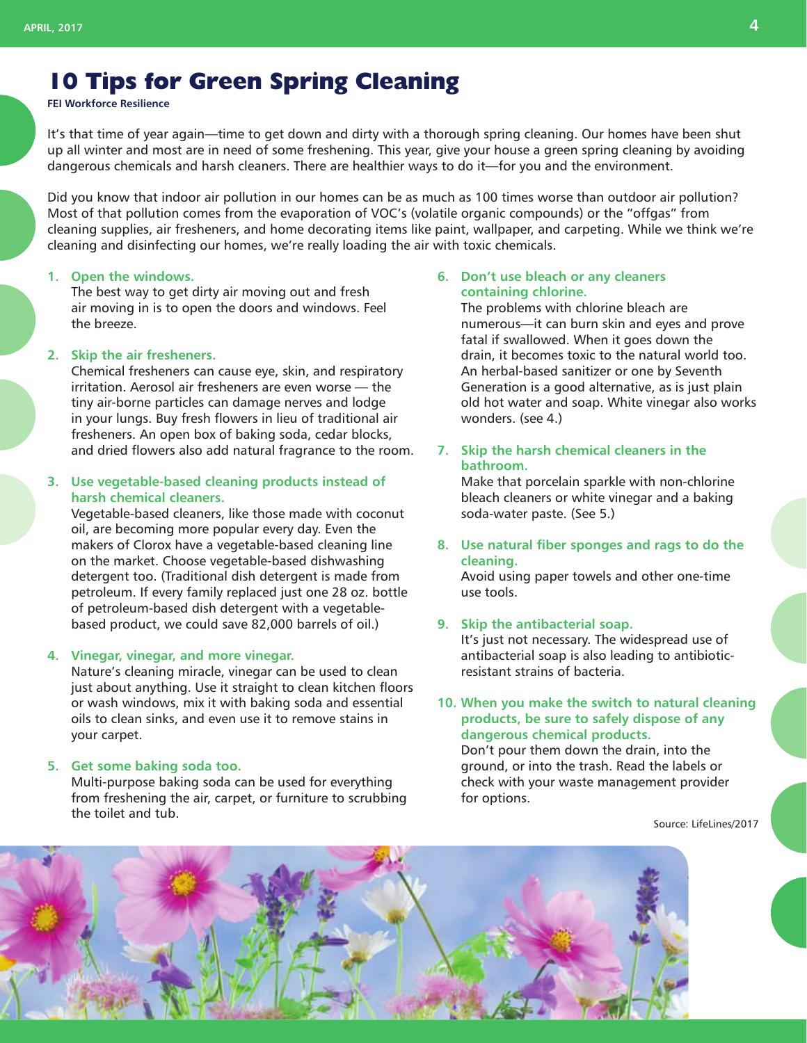## **10 Tips for Green Spring Cleaning**

**[FEI Workforce Resilience](http://feieap.com/)**

It's that time of year again—time to get down and dirty with a thorough spring cleaning. Our homes have been shut up all winter and most are in need of some freshening. This year, give your house a green spring cleaning by avoiding dangerous chemicals and harsh cleaners. There are healthier ways to do it—for you and the environment.

Did you know that indoor air pollution in our homes can be as much as 100 times worse than outdoor air pollution? Most of that pollution comes from the evaporation of VOC's (volatile organic compounds) or the "offgas" from cleaning supplies, air fresheners, and home decorating items like paint, wallpaper, and carpeting. While we think we're cleaning and disinfecting our homes, we're really loading the air with toxic chemicals.

#### **1. Open the windows.**

The best way to get dirty air moving out and fresh air moving in is to open the doors and windows. Feel the breeze.

### **2. Skip the air fresheners.**

Chemical fresheners can cause eye, skin, and respiratory irritation. Aerosol air fresheners are even worse — the tiny air-borne particles can damage nerves and lodge in your lungs. Buy fresh flowers in lieu of traditional air fresheners. An open box of baking soda, cedar blocks, and dried flowers also add natural fragrance to the room.

### **3. Use vegetable-based cleaning products instead of harsh chemical cleaners.**

Vegetable-based cleaners, like those made with coconut oil, are becoming more popular every day. Even the makers of Clorox have a vegetable-based cleaning line on the market. Choose vegetable-based dishwashing detergent too. (Traditional dish detergent is made from petroleum. If every family replaced just one 28 oz. bottle of petroleum-based dish detergent with a vegetablebased product, we could save 82,000 barrels of oil.)

#### **4. Vinegar, vinegar, and more vinegar.**

Nature's cleaning miracle, vinegar can be used to clean just about anything. Use it straight to clean kitchen floors or wash windows, mix it with baking soda and essential oils to clean sinks, and even use it to remove stains in your carpet.

### **5. Get some baking soda too.**

Multi-purpose baking soda can be used for everything from freshening the air, carpet, or furniture to scrubbing the toilet and tub.

### **6. Don't use bleach or any cleaners containing chlorine.**

The problems with chlorine bleach are numerous—it can burn skin and eyes and prove fatal if swallowed. When it goes down the drain, it becomes toxic to the natural world too. An herbal-based sanitizer or one by Seventh Generation is a good alternative, as is just plain old hot water and soap. White vinegar also works wonders. (see 4.)

**7. Skip the harsh chemical cleaners in the bathroom.**

Make that porcelain sparkle with non-chlorine bleach cleaners or white vinegar and a baking soda-water paste. (See 5.)

**8. Use natural fiber sponges and rags to do the cleaning.**

Avoid using paper towels and other one-time use tools.

### **9. Skip the antibacterial soap.**

It's just not necessary. The widespread use of antibacterial soap is also leading to antibioticresistant strains of bacteria.

**10. When you make the switch to natural cleaning products, be sure to safely dispose of any dangerous chemical products.** Don't pour them down the drain, into the ground, or into the trash. Read the labels or check with your waste management provider for options.

Source: LifeLines/2017

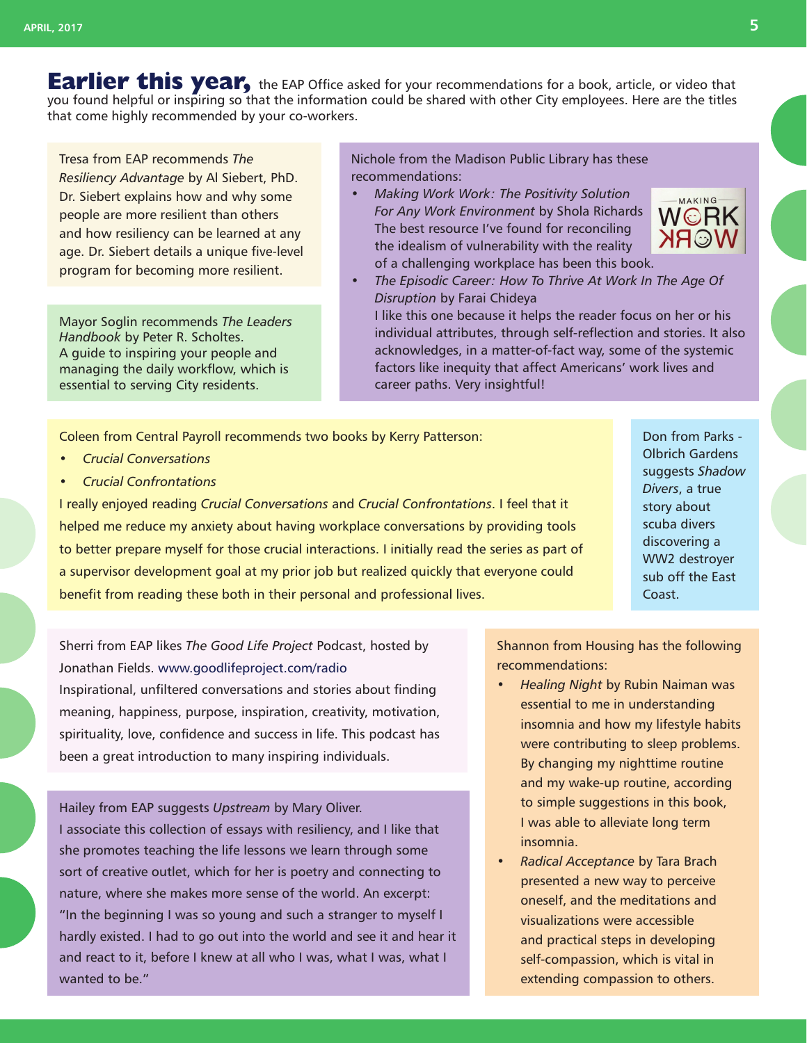**Earlier this year,** the EAP Office asked for your recommendations for a book, article, or video that you found helpful or inspiring so that the information could be shared with other City employees. Here are the titles that come highly recommended by your co-workers.

Tresa from EAP recommends *The Resiliency Advantage* by Al Siebert, PhD. Dr. Siebert explains how and why some people are more resilient than others and how resiliency can be learned at any age. Dr. Siebert details a unique five-level program for becoming more resilient.

Mayor Soglin recommends *The Leaders Handbook* by Peter R. Scholtes. A guide to inspiring your people and managing the daily workflow, which is essential to serving City residents.

Nichole from the Madison Public Library has these recommendations:

*• Making Work Work: The Positivity Solution For Any Work Environment* by Shola Richards The best resource I've found for reconciling the idealism of vulnerability with the reality of a challenging workplace has been this book.



*• The Episodic Career: How To Thrive At Work In The Age Of Disruption* by Farai Chideya

I like this one because it helps the reader focus on her or his individual attributes, through self-reflection and stories. It also acknowledges, in a matter-of-fact way, some of the systemic factors like inequity that affect Americans' work lives and career paths. Very insightful!

Coleen from Central Payroll recommends two books by Kerry Patterson:

- *• Crucial Conversations*
- *• Crucial Confrontations*

I really enjoyed reading *Crucial Conversations* and *Crucial Confrontations*. I feel that it helped me reduce my anxiety about having workplace conversations by providing tools to better prepare myself for those crucial interactions. I initially read the series as part of a supervisor development goal at my prior job but realized quickly that everyone could benefit from reading these both in their personal and professional lives.

Don from Parks - Olbrich Gardens suggests *Shadow Divers*, a true story about scuba divers discovering a WW2 destroyer sub off the East Coast.

Sherri from EAP likes *The Good Life Project* Podcast, hosted by Jonathan Fields. www.goodlifeproject.com/radio Inspirational, unfiltered conversations and stories about finding meaning, happiness, purpose, inspiration, creativity, motivation, spirituality, love, confidence and success in life. This podcast has been a great introduction to many inspiring individuals.

Hailey from EAP suggests *Upstream* by Mary Oliver. I associate this collection of essays with resiliency, and I like that she promotes teaching the life lessons we learn through some sort of creative outlet, which for her is poetry and connecting to nature, where she makes more sense of the world. An excerpt: "In the beginning I was so young and such a stranger to myself I hardly existed. I had to go out into the world and see it and hear it and react to it, before I knew at all who I was, what I was, what I wanted to be."

Shannon from Housing has the following recommendations:

- *• Healing Night* by Rubin Naiman was essential to me in understanding insomnia and how my lifestyle habits were contributing to sleep problems. By changing my nighttime routine and my wake-up routine, according to simple suggestions in this book, I was able to alleviate long term insomnia.
- *• Radical Acceptance* by Tara Brach presented a new way to perceive oneself, and the meditations and visualizations were accessible and practical steps in developing self-compassion, which is vital in extending compassion to others.